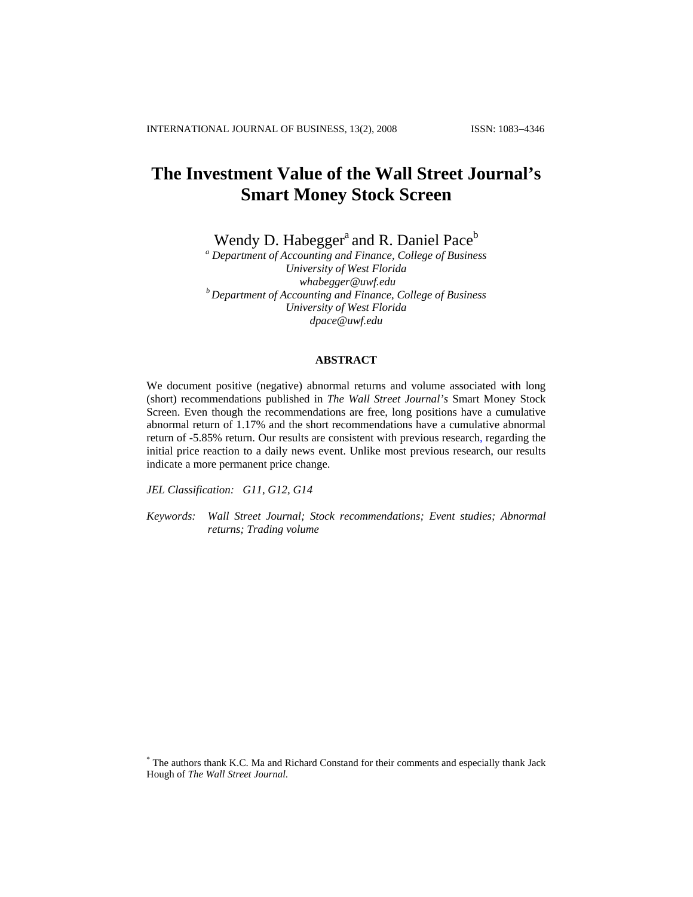# **The Investment Value of the Wall Street Journal's Smart Money Stock Screen**

Wendy D. Habegger<sup>a</sup> and R. Daniel Pace<sup>b</sup>

*a Department of Accounting and Finance, College of Business University of West Florida [whabegger@uwf.edu](mailto:whabegger@uwf.edu) b Department of Accounting and Finance, College of Business University of West Florida [dpace@uwf.edu](mailto:dpace@uwf.edu)*

### **ABSTRACT**

We document positive (negative) abnormal returns and volume associated with long (short) recommendations published in *The Wall Street Journal's* Smart Money Stock Screen. Even though the recommendations are free, long positions have a cumulative abnormal return of 1.17% and the short recommendations have a cumulative abnormal return of -5.85% return. Our results are consistent with previous research, regarding the initial price reaction to a daily news event. Unlike most previous research, our results indicate a more permanent price change.

*JEL Classification: G11, G12, G14* 

*Keywords: Wall Street Journal; Stock recommendations; Event studies; Abnormal returns; Trading volume* 

<sup>\*</sup> The authors thank K.C. Ma and Richard Constand for their comments and especially thank Jack Hough of *The Wall Street Journal*.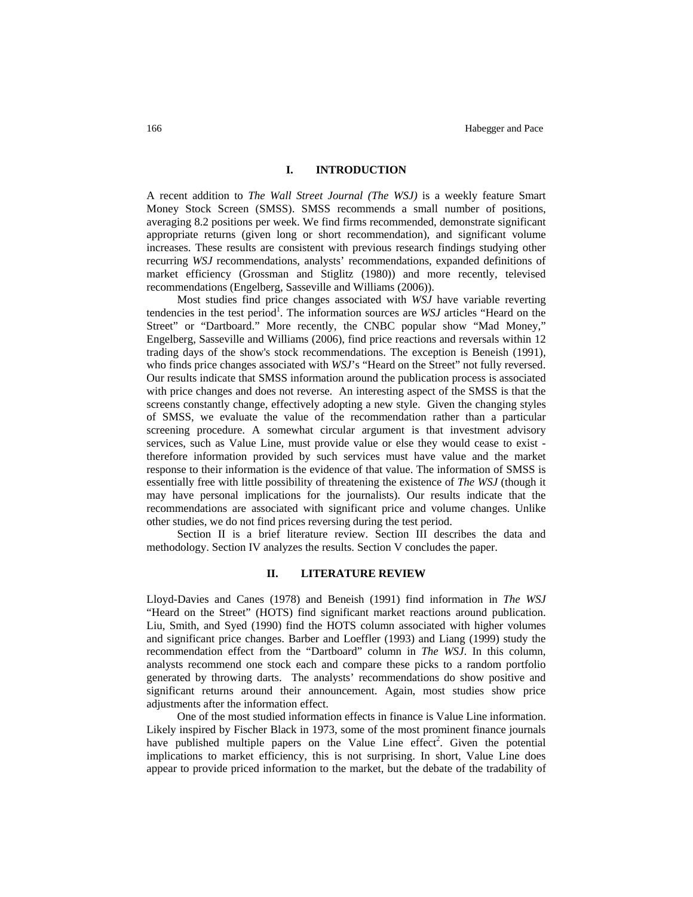## **I. INTRODUCTION**

A recent addition to *The Wall Street Journal (The WSJ)* is a weekly feature Smart Money Stock Screen (SMSS). SMSS recommends a small number of positions, averaging 8.2 positions per week. We find firms recommended, demonstrate significant appropriate returns (given long or short recommendation), and significant volume increases. These results are consistent with previous research findings studying other recurring *WSJ* recommendations, analysts' recommendations, expanded definitions of market efficiency (Grossman and Stiglitz (1980)) and more recently, televised recommendations (Engelberg, Sasseville and Williams (2006)).

Most studies find price changes associated with *WSJ* have variable reverting tendencies in the test period<sup>1</sup>. The information sources are *WSJ* articles "Heard on the Street" or "Dartboard." More recently, the CNBC popular show "Mad Money," Engelberg, Sasseville and Williams (2006), find price reactions and reversals within 12 trading days of the show's stock recommendations. The exception is Beneish (1991), who finds price changes associated with *WSJ*'s "Heard on the Street" not fully reversed. Our results indicate that SMSS information around the publication process is associated with price changes and does not reverse. An interesting aspect of the SMSS is that the screens constantly change, effectively adopting a new style. Given the changing styles of SMSS, we evaluate the value of the recommendation rather than a particular screening procedure. A somewhat circular argument is that investment advisory services, such as Value Line, must provide value or else they would cease to exist therefore information provided by such services must have value and the market response to their information is the evidence of that value. The information of SMSS is essentially free with little possibility of threatening the existence of *The WSJ* (though it may have personal implications for the journalists). Our results indicate that the recommendations are associated with significant price and volume changes. Unlike other studies, we do not find prices reversing during the test period.

Section II is a brief literature review. Section III describes the data and methodology. Section IV analyzes the results. Section V concludes the paper.

#### **II. LITERATURE REVIEW**

Lloyd-Davies and Canes (1978) and Beneish (1991) find information in *The WSJ* "Heard on the Street" (HOTS) find significant market reactions around publication. Liu, Smith, and Syed (1990) find the HOTS column associated with higher volumes and significant price changes. Barber and Loeffler (1993) and Liang (1999) study the recommendation effect from the "Dartboard" column in *The WSJ*. In this column, analysts recommend one stock each and compare these picks to a random portfolio generated by throwing darts. The analysts' recommendations do show positive and significant returns around their announcement. Again, most studies show price adjustments after the information effect.

One of the most studied information effects in finance is Value Line information. Likely inspired by Fischer Black in 1973, some of the most prominent finance journals have published multiple papers on the Value Line effect<sup>2</sup>. Given the potential implications to market efficiency, this is not surprising. In short, Value Line does appear to provide priced information to the market, but the debate of the tradability of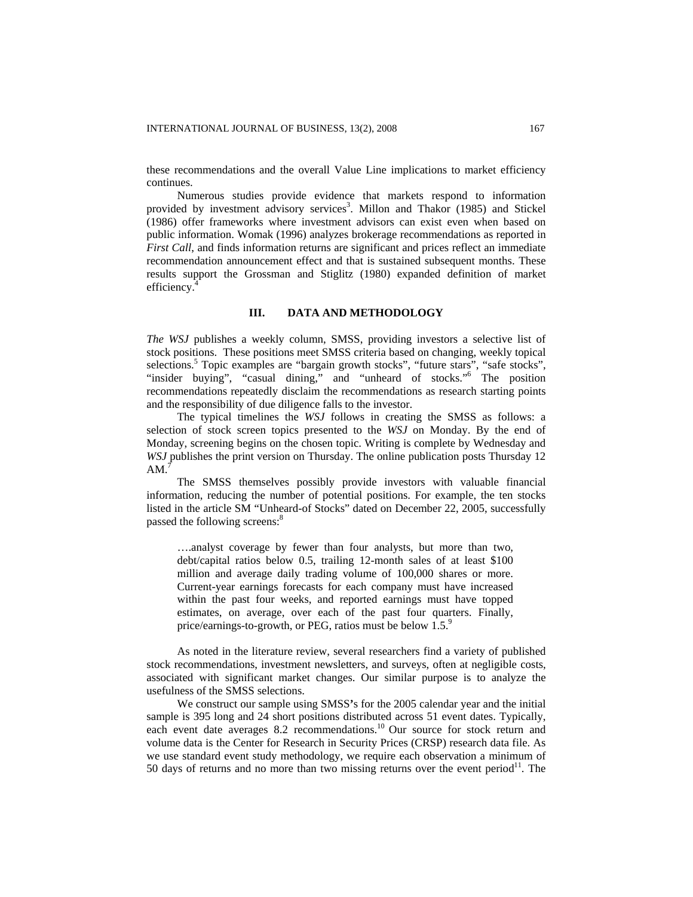these recommendations and the overall Value Line implications to market efficiency continues.

Numerous studies provide evidence that markets respond to information provided by investment advisory services<sup>3</sup>. Millon and Thakor (1985) and Stickel (1986) offer frameworks where investment advisors can exist even when based on public information. Womak (1996) analyzes brokerage recommendations as reported in *First Call*, and finds information returns are significant and prices reflect an immediate recommendation announcement effect and that is sustained subsequent months. These results support the Grossman and Stiglitz (1980) expanded definition of market efficiency.<sup>4</sup>

#### **III. DATA AND METHODOLOGY**

*The WSJ* publishes a weekly column, SMSS, providing investors a selective list of stock positions. These positions meet SMSS criteria based on changing, weekly topical selections.<sup>5</sup> Topic examples are "bargain growth stocks", "future stars", "safe stocks", "insider buying", "casual dining," and "unheard of stocks."<sup>6</sup> The position recommendations repeatedly disclaim the recommendations as research starting points and the responsibility of due diligence falls to the investor.

The typical timelines the *WSJ* follows in creating the SMSS as follows: a selection of stock screen topics presented to the *WSJ* on Monday. By the end of Monday, screening begins on the chosen topic. Writing is complete by Wednesday and *WSJ* publishes the print version on Thursday. The online publication posts Thursday 12 AM.

The SMSS themselves possibly provide investors with valuable financial information, reducing the number of potential positions. For example, the ten stocks listed in the article SM "Unheard-of Stocks" dated on December 22, 2005, successfully passed the following screens:<sup>8</sup>

….analyst coverage by fewer than four analysts, but more than two, debt/capital ratios below 0.5, trailing 12-month sales of at least \$100 million and average daily trading volume of 100,000 shares or more. Current-year earnings forecasts for each company must have increased within the past four weeks, and reported earnings must have topped estimates, on average, over each of the past four quarters. Finally, price/earnings-to-growth, or PEG, ratios must be below  $1.5$ .<sup>9</sup>

As noted in the literature review, several researchers find a variety of published stock recommendations, investment newsletters, and surveys, often at negligible costs, associated with significant market changes. Our similar purpose is to analyze the usefulness of the SMSS selections.

We construct our sample using SMSS**'**s for the 2005 calendar year and the initial sample is 395 long and 24 short positions distributed across 51 event dates. Typically, each event date averages 8.2 recommendations.<sup>10</sup> Our source for stock return and volume data is the Center for Research in Security Prices (CRSP) research data file. As we use standard event study methodology, we require each observation a minimum of 50 days of returns and no more than two missing returns over the event period $1$ . The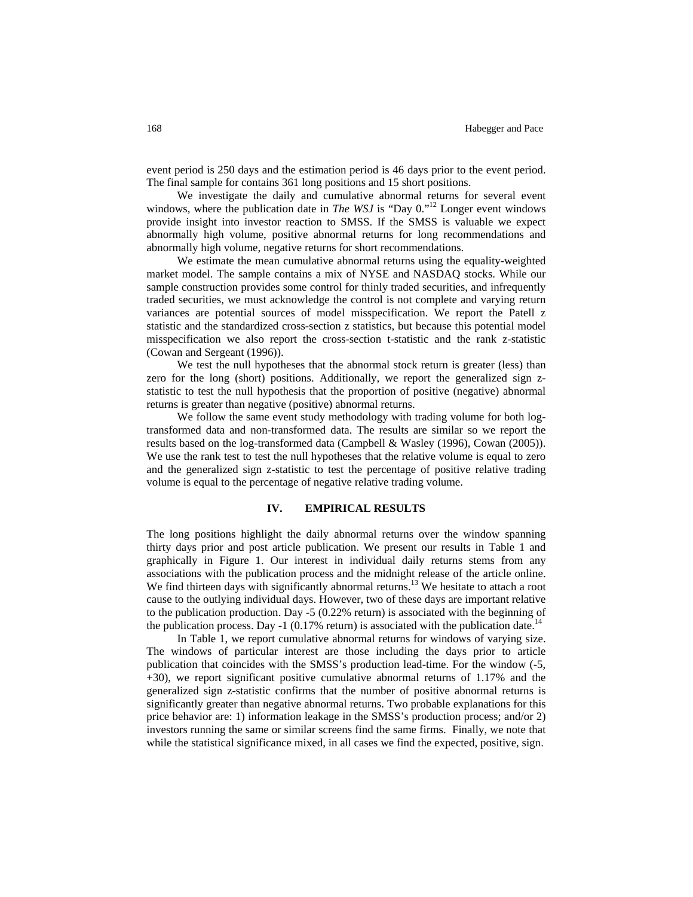event period is 250 days and the estimation period is 46 days prior to the event period. The final sample for contains 361 long positions and 15 short positions.

We investigate the daily and cumulative abnormal returns for several event windows, where the publication date in *The WSJ* is "Day 0."<sup>12</sup> Longer event windows provide insight into investor reaction to SMSS. If the SMSS is valuable we expect abnormally high volume, positive abnormal returns for long recommendations and abnormally high volume, negative returns for short recommendations.

We estimate the mean cumulative abnormal returns using the equality-weighted market model. The sample contains a mix of NYSE and NASDAQ stocks. While our sample construction provides some control for thinly traded securities, and infrequently traded securities, we must acknowledge the control is not complete and varying return variances are potential sources of model misspecification. We report the Patell z statistic and the standardized cross-section z statistics, but because this potential model misspecification we also report the cross-section t-statistic and the rank z-statistic (Cowan and Sergeant (1996)).

We test the null hypotheses that the abnormal stock return is greater (less) than zero for the long (short) positions. Additionally, we report the generalized sign zstatistic to test the null hypothesis that the proportion of positive (negative) abnormal returns is greater than negative (positive) abnormal returns.

We follow the same event study methodology with trading volume for both logtransformed data and non-transformed data. The results are similar so we report the results based on the log-transformed data (Campbell & Wasley (1996), Cowan (2005)). We use the rank test to test the null hypotheses that the relative volume is equal to zero and the generalized sign z-statistic to test the percentage of positive relative trading volume is equal to the percentage of negative relative trading volume.

#### **IV. EMPIRICAL RESULTS**

The long positions highlight the daily abnormal returns over the window spanning thirty days prior and post article publication. We present our results in Table 1 and graphically in Figure 1. Our interest in individual daily returns stems from any associations with the publication process and the midnight release of the article online. We find thirteen days with significantly abnormal returns.<sup>13</sup> We hesitate to attach a root cause to the outlying individual days. However, two of these days are important relative to the publication production. Day -5 (0.22% return) is associated with the beginning of the publication process. Day -1 (0.17% return) is associated with the publication date.<sup>14</sup>

In Table 1, we report cumulative abnormal returns for windows of varying size. The windows of particular interest are those including the days prior to article publication that coincides with the SMSS's production lead-time. For the window (-5, +30), we report significant positive cumulative abnormal returns of 1.17% and the generalized sign z-statistic confirms that the number of positive abnormal returns is significantly greater than negative abnormal returns. Two probable explanations for this price behavior are: 1) information leakage in the SMSS's production process; and/or 2) investors running the same or similar screens find the same firms. Finally, we note that while the statistical significance mixed, in all cases we find the expected, positive, sign.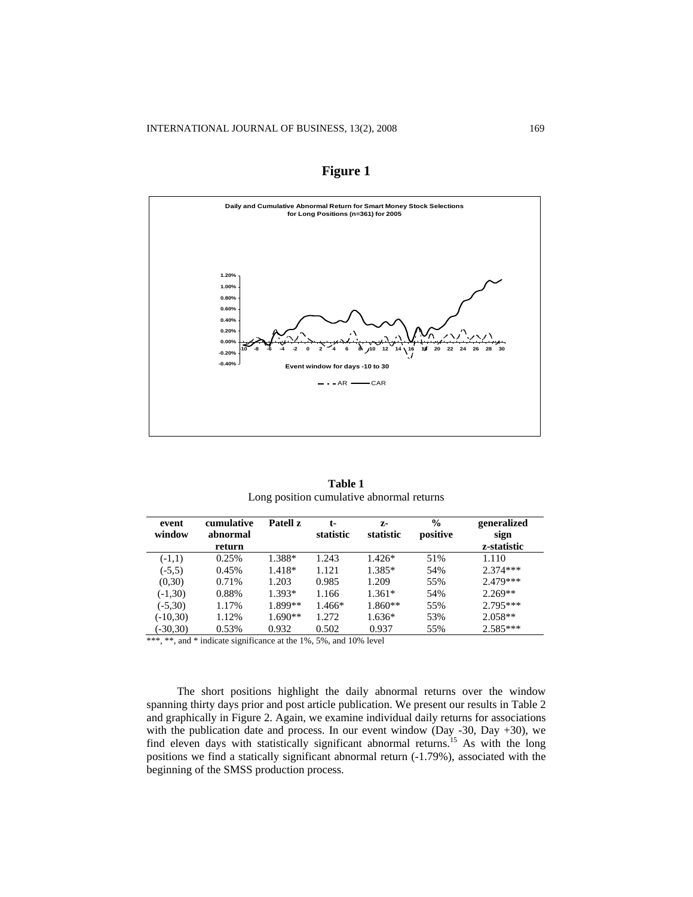

**Figure 1** 

**Table 1**  Long position cumulative abnormal returns

| event<br>window | cumulative<br>abnormal | Patell z  | t-<br>statistic | $Z-$<br>statistic | $\frac{0}{0}$<br>positive | generalized         |
|-----------------|------------------------|-----------|-----------------|-------------------|---------------------------|---------------------|
|                 | return                 |           |                 |                   |                           | sign<br>z-statistic |
| $(-1,1)$        | 0.25%                  | 1.388*    | 1.243           | $1.426*$          | 51%                       | 1.110               |
| $(-5,5)$        | 0.45%                  | 1.418*    | 1.121           | 1.385*            | 54%                       | $2.374***$          |
| (0,30)          | 0.71%                  | 1.203     | 0.985           | 1.209             | 55%                       | 2.479***            |
| $(-1,30)$       | 0.88%                  | $1.393*$  | 1.166           | $1.361*$          | 54%                       | $2.269**$           |
| $(-5,30)$       | 1.17%                  | 1.899**   | 1.466*          | $1.860**$         | 55%                       | $2.795***$          |
| $(-10,30)$      | 1.12%                  | $1.690**$ | 1.272           | $1.636*$          | 53%                       | $2.058**$           |
| $(-30,30)$      | 0.53%                  | 0.932     | 0.502           | 0.937             | 55%                       | $2.585***$          |

\*\*\*, \*\*, and \* indicate significance at the 1%, 5%, and 10% level

The short positions highlight the daily abnormal returns over the window spanning thirty days prior and post article publication. We present our results in Table 2 and graphically in Figure 2. Again, we examine individual daily returns for associations with the publication date and process. In our event window (Day -30, Day +30), we find eleven days with statistically significant abnormal returns.15 As with the long positions we find a statically significant abnormal return (-1.79%), associated with the beginning of the SMSS production process.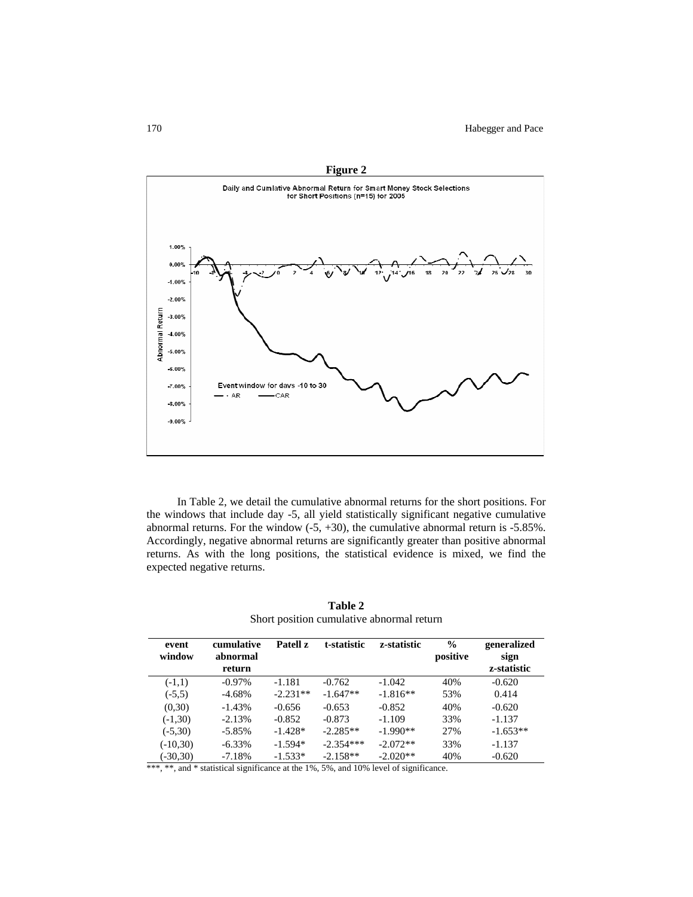

**Figure 2** 

In Table 2, we detail the cumulative abnormal returns for the short positions. For the windows that include day -5, all yield statistically significant negative cumulative abnormal returns. For the window  $(-5, +30)$ , the cumulative abnormal return is  $-5.85\%$ . Accordingly, negative abnormal returns are significantly greater than positive abnormal returns. As with the long positions, the statistical evidence is mixed, we find the expected negative returns.

| event      | cumulative | Patell z   | t-statistic | z-statistic | $\frac{0}{0}$ | generalized |
|------------|------------|------------|-------------|-------------|---------------|-------------|
| window     | abnormal   |            |             |             | positive      | sign        |
|            | return     |            |             |             |               | z-statistic |
| $(-1,1)$   | $-0.97\%$  | $-1.181$   | $-0.762$    | $-1.042$    | 40%           | $-0.620$    |
| $(-5,5)$   | $-4.68%$   | $-2.231**$ | $-1.647**$  | $-1.816**$  | 53%           | 0.414       |
| (0.30)     | $-1.43%$   | $-0.656$   | $-0.653$    | $-0.852$    | 40%           | $-0.620$    |
| $(-1,30)$  | $-2.13%$   | $-0.852$   | $-0.873$    | $-1.109$    | 33%           | $-1.137$    |
| $(-5,30)$  | $-5.85%$   | $-1.428*$  | $-2.285**$  | $-1.990**$  | 27%           | $-1.653**$  |
| $(-10,30)$ | $-6.33\%$  | $-1.594*$  | $-2.354***$ | $-2.072**$  | 33%           | $-1.137$    |
| $(-30,30)$ | $-7.18%$   | $-1.533*$  | $-2.158**$  | $-2.020**$  | 40%           | $-0.620$    |

**Table 2**  Short position cumulative abnormal return

\*\*\*, \*\*, and \* statistical significance at the 1%, 5%, and 10% level of significance.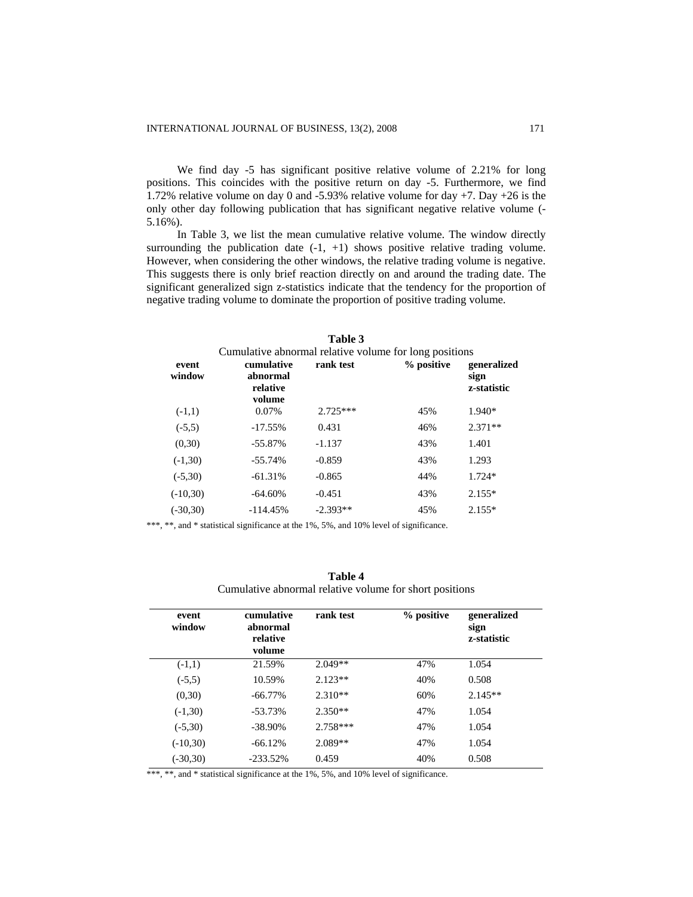We find day -5 has significant positive relative volume of 2.21% for long positions. This coincides with the positive return on day -5. Furthermore, we find 1.72% relative volume on day 0 and -5.93% relative volume for day +7. Day +26 is the only other day following publication that has significant negative relative volume (- 5.16%).

In Table 3, we list the mean cumulative relative volume. The window directly surrounding the publication date  $(-1, +1)$  shows positive relative trading volume. However, when considering the other windows, the relative trading volume is negative. This suggests there is only brief reaction directly on and around the trading date. The significant generalized sign z-statistics indicate that the tendency for the proportion of negative trading volume to dominate the proportion of positive trading volume.

| event<br>window | Cumulative abnormal relative volume for long positions<br>cumulative<br>abnormal<br>relative<br>volume | rank test  | % positive | generalized<br>sign<br>z-statistic |
|-----------------|--------------------------------------------------------------------------------------------------------|------------|------------|------------------------------------|
| $(-1,1)$        | 0.07%                                                                                                  | $2.725***$ | 45%        | $1.940*$                           |
| $(-5,5)$        | $-17.55%$                                                                                              | 0.431      | 46%        | $2.371**$                          |
| (0,30)          | $-55.87\%$                                                                                             | $-1.137$   | 43%        | 1.401                              |
| $(-1,30)$       | $-55.74%$                                                                                              | $-0.859$   | 43%        | 1.293                              |
| $(-5,30)$       | $-61.31%$                                                                                              | $-0.865$   | 44%        | $1.724*$                           |
| $(-10,30)$      | $-64.60\%$                                                                                             | $-0.451$   | 43%        | $2.155*$                           |
| $(-30,30)$      | $-114.45%$                                                                                             | $-2.393**$ | 45%        | $2.155*$                           |

**Table 3** 

\*\*\*, \*\*, and \* statistical significance at the 1%, 5%, and 10% level of significance.

| Table 4                                                 |
|---------------------------------------------------------|
| Cumulative abnormal relative volume for short positions |

| event<br>window | cumulative<br>abnormal<br>relative<br>volume | rank test  | % positive | generalized<br>sign<br>z-statistic |
|-----------------|----------------------------------------------|------------|------------|------------------------------------|
| $(-1,1)$        | 21.59%                                       | $2.049**$  | 47%        | 1.054                              |
| $(-5,5)$        | 10.59%                                       | $2.123**$  | 40%        | 0.508                              |
| (0,30)          | $-66.77\%$                                   | $2.310**$  | 60%        | $2.145**$                          |
| $(-1,30)$       | $-53.73%$                                    | $2.350**$  | 47%        | 1.054                              |
| $(-5,30)$       | $-38.90\%$                                   | $2.758***$ | 47%        | 1.054                              |
| $(-10,30)$      | $-66.12%$                                    | $2.089**$  | 47%        | 1.054                              |
| $(-30,30)$      | $-233.52\%$                                  | 0.459      | 40%        | 0.508                              |

\*\*\*, \*\*, and \* statistical significance at the 1%, 5%, and 10% level of significance.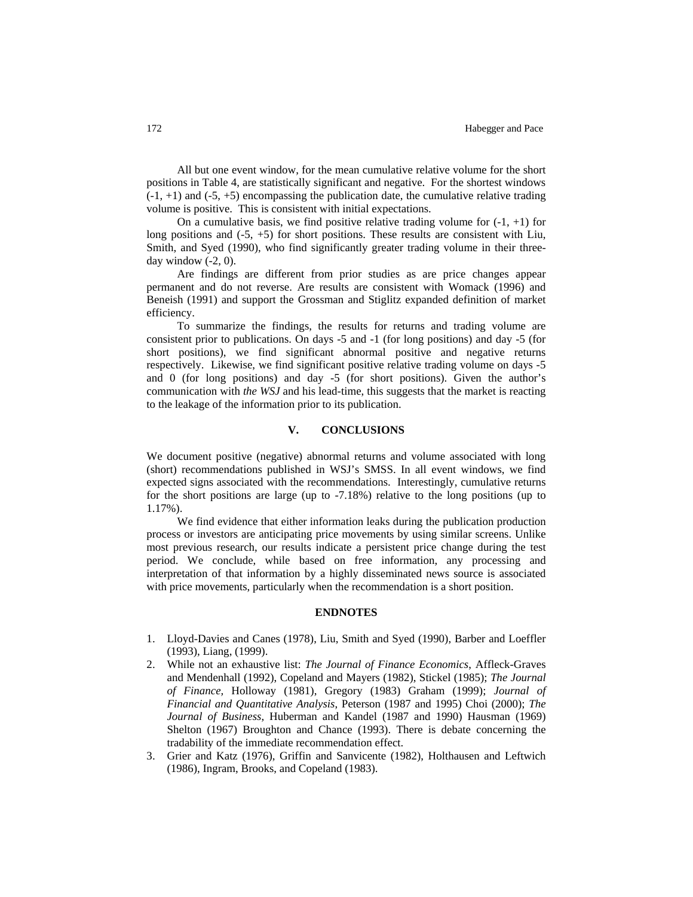All but one event window, for the mean cumulative relative volume for the short positions in Table 4, are statistically significant and negative. For the shortest windows  $(-1, +1)$  and  $(-5, +5)$  encompassing the publication date, the cumulative relative trading volume is positive. This is consistent with initial expectations.

On a cumulative basis, we find positive relative trading volume for  $(-1, +1)$  for long positions and (-5, +5) for short positions. These results are consistent with Liu, Smith, and Syed (1990), who find significantly greater trading volume in their threeday window  $(-2, 0)$ .

Are findings are different from prior studies as are price changes appear permanent and do not reverse. Are results are consistent with Womack (1996) and Beneish (1991) and support the Grossman and Stiglitz expanded definition of market efficiency.

To summarize the findings, the results for returns and trading volume are consistent prior to publications. On days -5 and -1 (for long positions) and day -5 (for short positions), we find significant abnormal positive and negative returns respectively. Likewise, we find significant positive relative trading volume on days -5 and 0 (for long positions) and day -5 (for short positions). Given the author's communication with *the WSJ* and his lead-time, this suggests that the market is reacting to the leakage of the information prior to its publication.

## **V. CONCLUSIONS**

We document positive (negative) abnormal returns and volume associated with long (short) recommendations published in WSJ's SMSS. In all event windows, we find expected signs associated with the recommendations. Interestingly, cumulative returns for the short positions are large (up to -7.18%) relative to the long positions (up to 1.17%).

We find evidence that either information leaks during the publication production process or investors are anticipating price movements by using similar screens. Unlike most previous research, our results indicate a persistent price change during the test period. We conclude, while based on free information, any processing and interpretation of that information by a highly disseminated news source is associated with price movements, particularly when the recommendation is a short position.

#### **ENDNOTES**

- 1. Lloyd-Davies and Canes (1978), Liu, Smith and Syed (1990), Barber and Loeffler (1993), Liang, (1999).
- 2. While not an exhaustive list: *The Journal of Finance Economics*, Affleck-Graves and Mendenhall (1992), Copeland and Mayers (1982), Stickel (1985); *The Journal of Finance,* Holloway (1981), Gregory (1983) Graham (1999); *Journal of Financial and Quantitative Analysis*, Peterson (1987 and 1995) Choi (2000); *The Journal of Business*, Huberman and Kandel (1987 and 1990) Hausman (1969) Shelton (1967) Broughton and Chance (1993). There is debate concerning the tradability of the immediate recommendation effect.
- 3. Grier and Katz (1976), Griffin and Sanvicente (1982), Holthausen and Leftwich (1986), Ingram, Brooks, and Copeland (1983).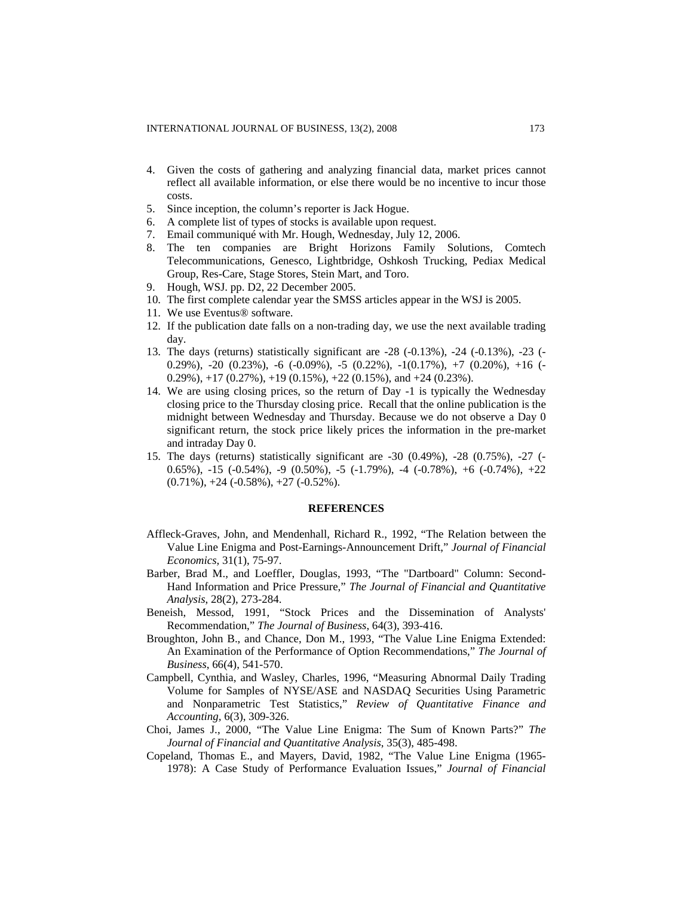- 4. Given the costs of gathering and analyzing financial data, market prices cannot reflect all available information, or else there would be no incentive to incur those costs.
- 5. Since inception, the column's reporter is Jack Hogue.
- 6. A complete list of types of stocks is available upon request.
- 7. Email communiqué with Mr. Hough, Wednesday, July 12, 2006.
- 8. The ten companies are Bright Horizons Family Solutions, Comtech Telecommunications, Genesco, Lightbridge, Oshkosh Trucking, Pediax Medical Group, Res-Care, Stage Stores, Stein Mart, and Toro.
- 9. Hough, WSJ. pp. D2, 22 December 2005.
- 10. The first complete calendar year the SMSS articles appear in the WSJ is 2005.
- 11. We use Eventus® software.
- 12. If the publication date falls on a non-trading day, we use the next available trading day.
- 13. The days (returns) statistically significant are -28 (-0.13%), -24 (-0.13%), -23 (- 0.29%),  $-20$  (0.23%),  $-6$  ( $-0.09$ %),  $-5$  (0.22%),  $-1(0.17)$ %),  $+7$  (0.20%),  $+16$  ( $-$ 0.29%),  $+17$  (0.27%),  $+19$  (0.15%),  $+22$  (0.15%), and  $+24$  (0.23%).
- 14. We are using closing prices, so the return of Day -1 is typically the Wednesday closing price to the Thursday closing price. Recall that the online publication is the midnight between Wednesday and Thursday. Because we do not observe a Day 0 significant return, the stock price likely prices the information in the pre-market and intraday Day 0.
- 15. The days (returns) statistically significant are -30 (0.49%), -28 (0.75%), -27 (- 0.65%),  $-15$  ( $-0.54$ %),  $-9$  (0.50%),  $-5$  ( $-1.79$ %),  $-4$  ( $-0.78$ %),  $+6$  ( $-0.74$ %),  $+22$  $(0.71\%)$ ,  $+24$   $(-0.58\%)$ ,  $+27$   $(-0.52\%)$ .

#### **REFERENCES**

- Affleck-Graves, John, and Mendenhall, Richard R., 1992, "The Relation between the Value Line Enigma and Post-Earnings-Announcement Drift," *Journal of Financial Economics,* 31(1), 75-97.
- Barber, Brad M., and Loeffler, Douglas, 1993, "The "Dartboard" Column: Second-Hand Information and Price Pressure," *The Journal of Financial and Quantitative Analysis*, 28(2), 273-284.
- Beneish, Messod, 1991, "Stock Prices and the Dissemination of Analysts' Recommendation," *The Journal of Business*, 64(3), 393-416.
- Broughton, John B., and Chance, Don M., 1993, "The Value Line Enigma Extended: An Examination of the Performance of Option Recommendations," *The Journal of Business*, 66(4), 541-570.
- Campbell, Cynthia, and Wasley, Charles, 1996, "Measuring Abnormal Daily Trading Volume for Samples of NYSE/ASE and NASDAQ Securities Using Parametric and Nonparametric Test Statistics," *Review of Quantitative Finance and Accounting,* 6(3), 309-326.
- Choi, James J., 2000, "The Value Line Enigma: The Sum of Known Parts?" *The Journal of Financial and Quantitative Analysis*, 35(3), 485-498.
- Copeland, Thomas E., and Mayers, David, 1982, "The Value Line Enigma (1965- 1978): A Case Study of Performance Evaluation Issues," *Journal of Financial*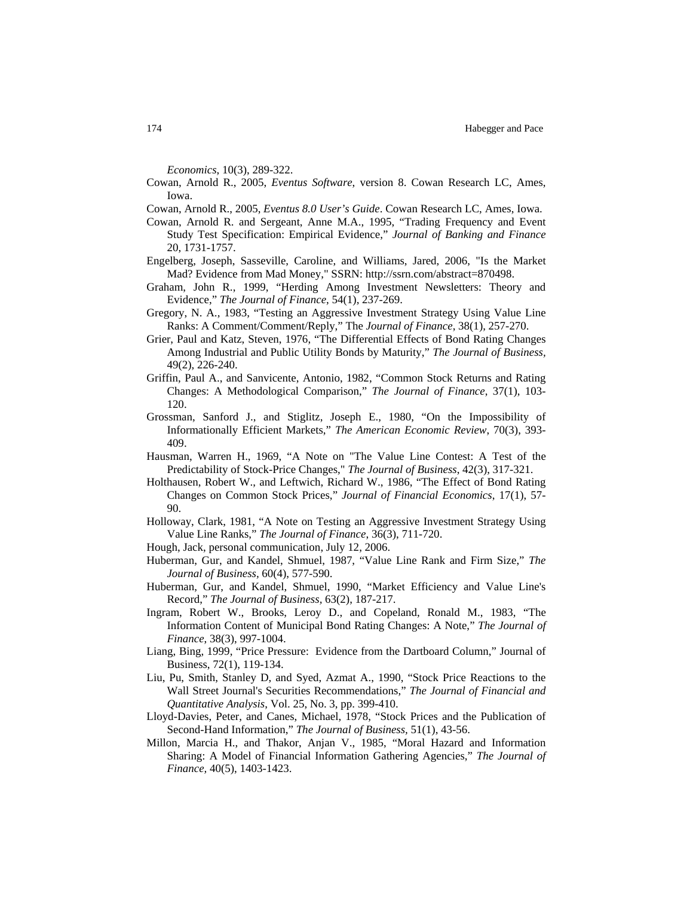*Economics*, 10(3), 289-322.

- Cowan, Arnold R., 2005, *Eventus Software*, version 8. Cowan Research LC, Ames, Iowa.
- Cowan, Arnold R., 2005, *Eventus 8.0 User's Guide*. Cowan Research LC, Ames, Iowa.
- Cowan, Arnold R. and Sergeant, Anne M.A., 1995, "Trading Frequency and Event Study Test Specification: Empirical Evidence," *Journal of Banking and Finance* 20, 1731-1757.
- Engelberg, Joseph, Sasseville, Caroline, and Williams, Jared, 2006, "Is the Market Mad? Evidence from Mad Money," SSRN:<http://ssrn.com/abstract=870498>.
- Graham, John R., 1999, "Herding Among Investment Newsletters: Theory and Evidence," *The Journal of Finance*, 54(1), 237-269.
- Gregory, N. A., 1983, "Testing an Aggressive Investment Strategy Using Value Line Ranks: A Comment/Comment/Reply," The *Journal of Finance*, 38(1), 257-270.
- Grier, Paul and Katz, Steven, 1976, "The Differential Effects of Bond Rating Changes Among Industrial and Public Utility Bonds by Maturity," *The Journal of Business,* 49(2), 226-240.
- Griffin, Paul A., and Sanvicente, Antonio, 1982, "Common Stock Returns and Rating Changes: A Methodological Comparison," *The Journal of Finance*, 37(1), 103- 120.
- Grossman, Sanford J., and Stiglitz, Joseph E., 1980, "On the Impossibility of Informationally Efficient Markets," *The American Economic Review*, 70(3), 393- 409.
- Hausman, Warren H., 1969, "A Note on "The Value Line Contest: A Test of the Predictability of Stock-Price Changes," *The Journal of Business*, 42(3), 317-321.
- Holthausen, Robert W., and Leftwich, Richard W., 1986, "The Effect of Bond Rating Changes on Common Stock Prices," *Journal of Financial Economics*, 17(1), 57- 90.
- Holloway, Clark, 1981, "A Note on Testing an Aggressive Investment Strategy Using Value Line Ranks," *The Journal of Finance*, 36(3), 711-720.
- Hough, Jack, personal communication, July 12, 2006.
- Huberman, Gur, and Kandel, Shmuel, 1987, "Value Line Rank and Firm Size," *The Journal of Business,* 60(4), 577-590.
- Huberman, Gur, and Kandel, Shmuel, 1990, "Market Efficiency and Value Line's Record," *The Journal of Business,* 63(2), 187-217.
- Ingram, Robert W., Brooks, Leroy D., and Copeland, Ronald M., 1983, "The Information Content of Municipal Bond Rating Changes: A Note," *The Journal of Finance*, 38(3), 997-1004.
- Liang, Bing, 1999, "Price Pressure: Evidence from the Dartboard Column," Journal of Business, 72(1), 119-134.
- Liu, Pu, Smith, Stanley D, and Syed, Azmat A., 1990, "Stock Price Reactions to the Wall Street Journal's Securities Recommendations," *The Journal of Financial and Quantitative Analysis*, Vol. 25, No. 3, pp. 399-410.
- Lloyd-Davies, Peter, and Canes, Michael, 1978, "Stock Prices and the Publication of Second-Hand Information," *The Journal of Business,* 51(1), 43-56.
- Millon, Marcia H., and Thakor, Anjan V., 1985, "Moral Hazard and Information Sharing: A Model of Financial Information Gathering Agencies," *The Journal of Finance,* 40(5), 1403-1423.